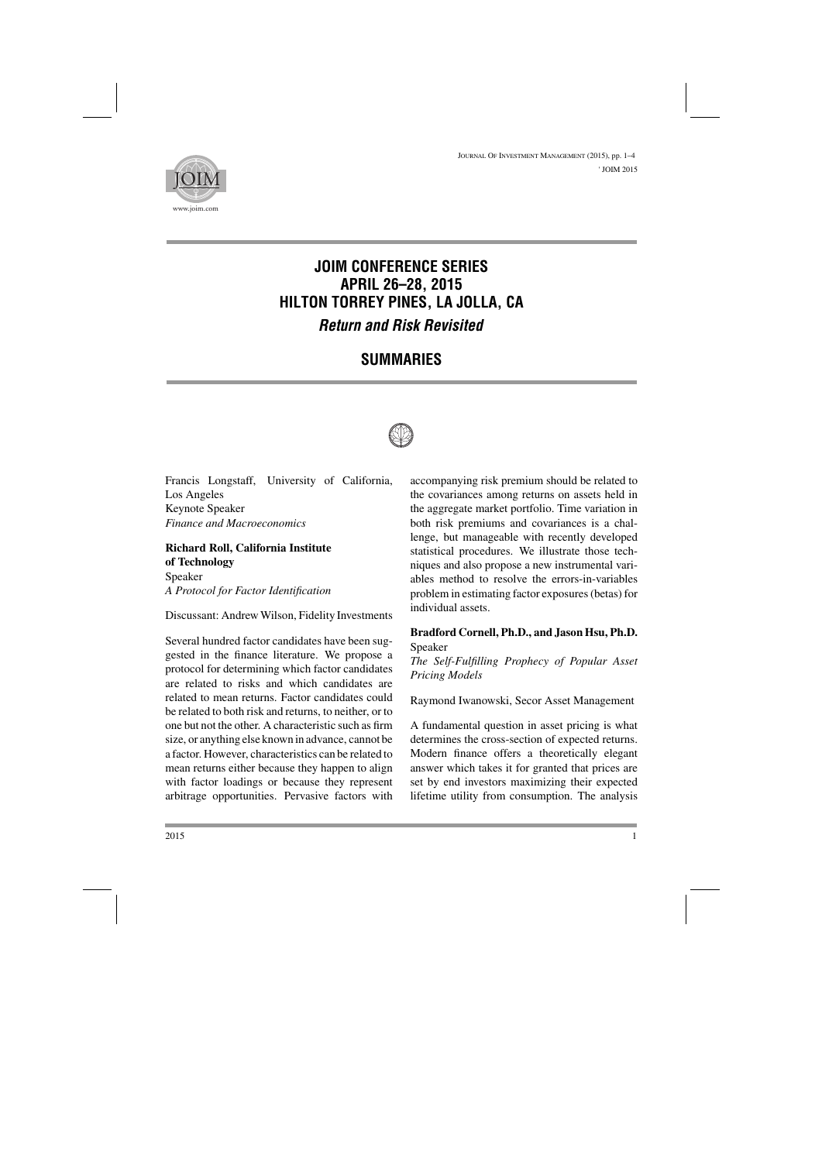

# **JOIM CONFERENCE SERIES APRIL 26–28, 2015 HILTON TORREY PINES, LA JOLLA, CA** *Return and Risk Revisited*

# **SUMMARIES**



Francis Longstaff, University of California, Los Angeles Keynote Speaker *Finance and Macroeconomics*

### **Richard Roll, California Institute of Technology** Speaker

*A Protocol for Factor Identification*

Discussant: Andrew Wilson, Fidelity Investments

Several hundred factor candidates have been suggested in the finance literature. We propose a protocol for determining which factor candidates are related to risks and which candidates are related to mean returns. Factor candidates could be related to both risk and returns, to neither, or to one but not the other. A characteristic such as firm size, or anything else known in advance, cannot be a factor. However, characteristics can be related to mean returns either because they happen to align with factor loadings or because they represent arbitrage opportunities. Pervasive factors with accompanying risk premium should be related to the covariances among returns on assets held in the aggregate market portfolio. Time variation in both risk premiums and covariances is a challenge, but manageable with recently developed statistical procedures. We illustrate those techniques and also propose a new instrumental variables method to resolve the errors-in-variables problem in estimating factor exposures (betas) for individual assets.

## **Bradford Cornell, Ph.D., and Jason Hsu, Ph.D.** Speaker

*The Self-Fulfilling Prophecy of Popular Asset Pricing Models*

Raymond Iwanowski, Secor Asset Management

A fundamental question in asset pricing is what determines the cross-section of expected returns. Modern finance offers a theoretically elegant answer which takes it for granted that prices are set by end investors maximizing their expected lifetime utility from consumption. The analysis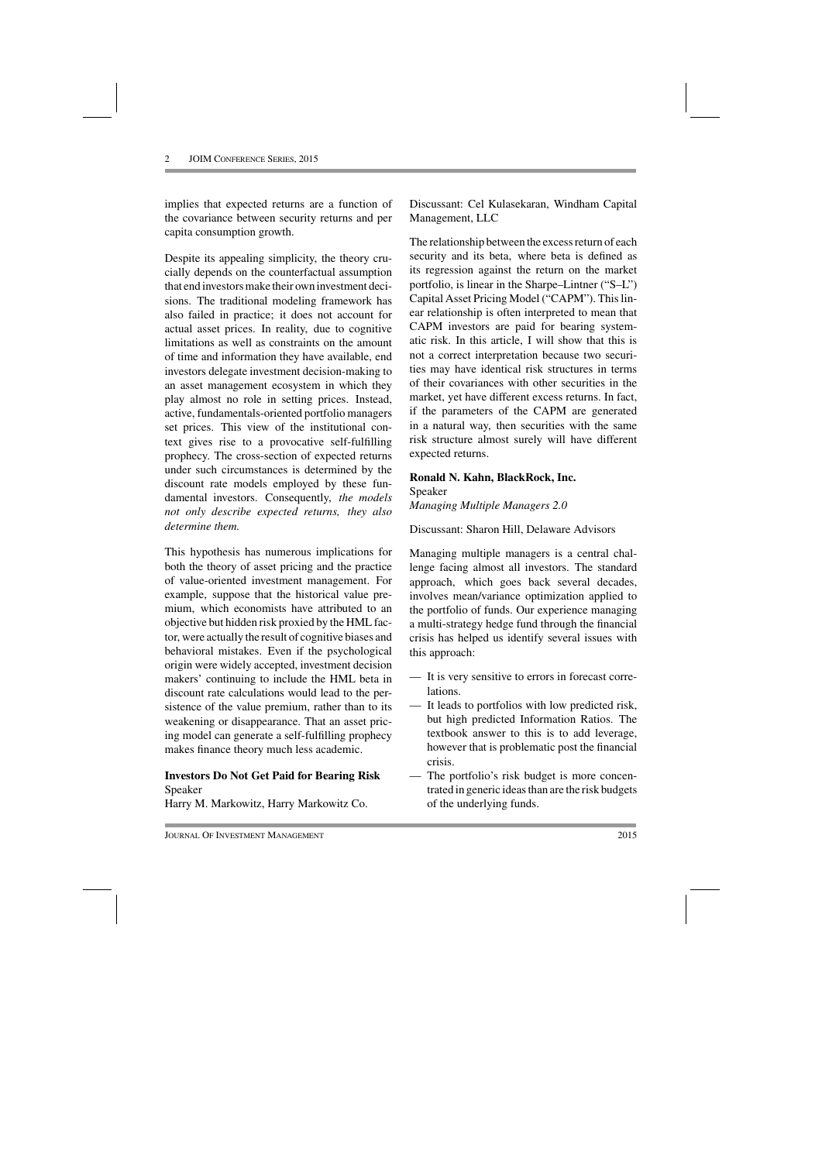implies that expected returns are a function of the covariance between security returns and per capita consumption growth.

Despite its appealing simplicity, the theory crucially depends on the counterfactual assumption that end investors make their own investment decisions. The traditional modeling framework has also failed in practice; it does not account for actual asset prices. In reality, due to cognitive limitations as well as constraints on the amount of time and information they have available, end investors delegate investment decision-making to an asset management ecosystem in which they play almost no role in setting prices. Instead, active, fundamentals-oriented portfolio managers set prices. This view of the institutional context gives rise to a provocative self-fulfilling prophecy. The cross-section of expected returns under such circumstances is determined by the discount rate models employed by these fundamental investors. Consequently, *the models not only describe expected returns, they also determine them.*

This hypothesis has numerous implications for both the theory of asset pricing and the practice of value-oriented investment management. For example, suppose that the historical value premium, which economists have attributed to an objective but hidden risk proxied by the HML factor, were actually the result of cognitive biases and behavioral mistakes. Even if the psychological origin were widely accepted, investment decision makers' continuing to include the HML beta in discount rate calculations would lead to the persistence of the value premium, rather than to its weakening or disappearance. That an asset pricing model can generate a self-fulfilling prophecy makes finance theory much less academic.

#### **Investors Do Not Get Paid for Bearing Risk** Speaker

Harry M. Markowitz, Harry Markowitz Co.

Discussant: Cel Kulasekaran, Windham Capital Management, LLC

The relationship between the excess return of each security and its beta, where beta is defined as its regression against the return on the market portfolio, is linear in the Sharpe–Lintner ("S–L") Capital Asset Pricing Model ("CAPM"). This linear relationship is often interpreted to mean that CAPM investors are paid for bearing systematic risk. In this article, I will show that this is not a correct interpretation because two securities may have identical risk structures in terms of their covariances with other securities in the market, yet have different excess returns. In fact, if the parameters of the CAPM are generated in a natural way, then securities with the same risk structure almost surely will have different expected returns.

## **Ronald N. Kahn, BlackRock, Inc.**

Speaker *Managing Multiple Managers 2.0*

Discussant: Sharon Hill, Delaware Advisors

Managing multiple managers is a central challenge facing almost all investors. The standard approach, which goes back several decades, involves mean/variance optimization applied to the portfolio of funds. Our experience managing a multi-strategy hedge fund through the financial crisis has helped us identify several issues with this approach:

- It is very sensitive to errors in forecast correlations.
- It leads to portfolios with low predicted risk, but high predicted Information Ratios. The textbook answer to this is to add leverage, however that is problematic post the financial crisis.
- The portfolio's risk budget is more concentrated in generic ideas than are the risk budgets of the underlying funds.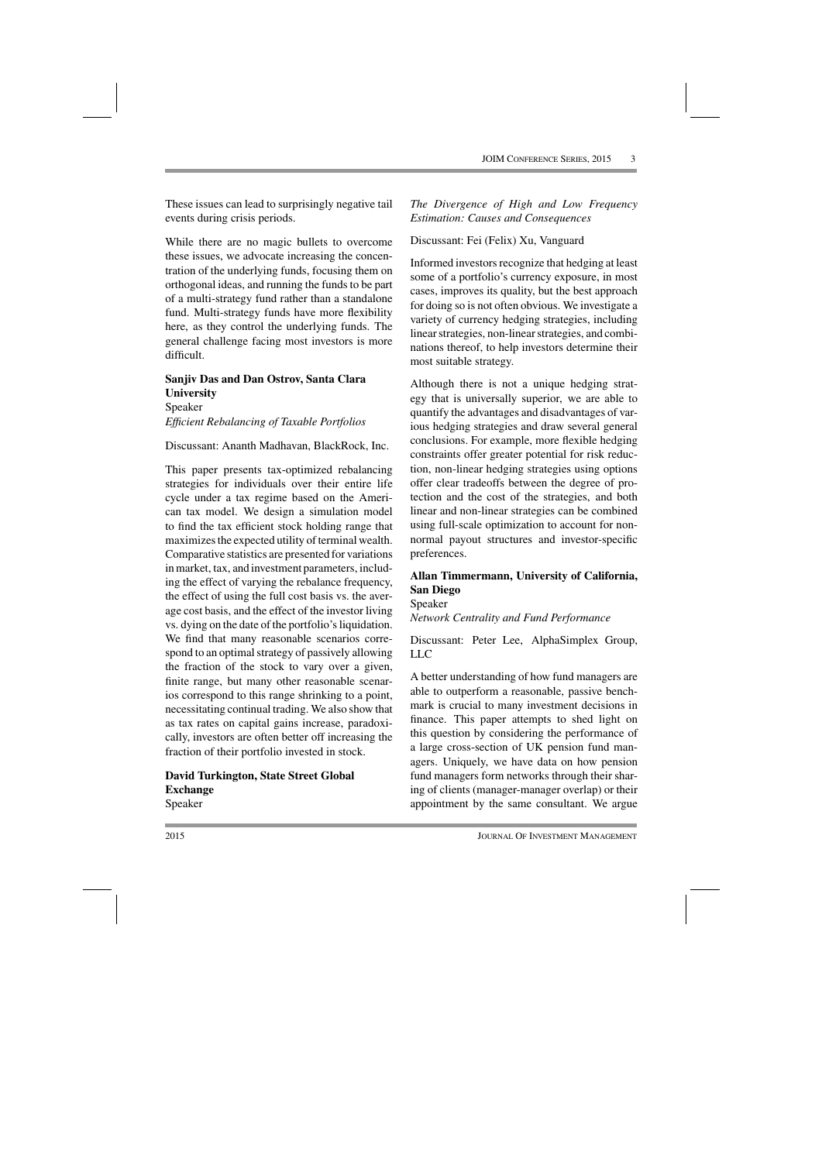These issues can lead to surprisingly negative tail events during crisis periods.

While there are no magic bullets to overcome these issues, we advocate increasing the concentration of the underlying funds, focusing them on orthogonal ideas, and running the funds to be part of a multi-strategy fund rather than a standalone fund. Multi-strategy funds have more flexibility here, as they control the underlying funds. The general challenge facing most investors is more difficult.

# **Sanjiv Das and Dan Ostrov, Santa Clara University**

Speaker *Efficient Rebalancing of Taxable Portfolios*

Discussant: Ananth Madhavan, BlackRock, Inc.

This paper presents tax-optimized rebalancing strategies for individuals over their entire life cycle under a tax regime based on the American tax model. We design a simulation model to find the tax efficient stock holding range that maximizes the expected utility of terminal wealth. Comparative statistics are presented for variations in market, tax, and investment parameters, including the effect of varying the rebalance frequency, the effect of using the full cost basis vs. the average cost basis, and the effect of the investor living vs. dying on the date of the portfolio's liquidation. We find that many reasonable scenarios correspond to an optimal strategy of passively allowing the fraction of the stock to vary over a given, finite range, but many other reasonable scenarios correspond to this range shrinking to a point, necessitating continual trading. We also show that as tax rates on capital gains increase, paradoxically, investors are often better off increasing the fraction of their portfolio invested in stock.

**David Turkington, State Street Global Exchange** Speaker

*The Divergence of High and Low Frequency Estimation: Causes and Consequences*

#### Discussant: Fei (Felix) Xu, Vanguard

Informed investors recognize that hedging at least some of a portfolio's currency exposure, in most cases, improves its quality, but the best approach for doing so is not often obvious. We investigate a variety of currency hedging strategies, including linear strategies, non-linear strategies, and combinations thereof, to help investors determine their most suitable strategy.

Although there is not a unique hedging strategy that is universally superior, we are able to quantify the advantages and disadvantages of various hedging strategies and draw several general conclusions. For example, more flexible hedging constraints offer greater potential for risk reduction, non-linear hedging strategies using options offer clear tradeoffs between the degree of protection and the cost of the strategies, and both linear and non-linear strategies can be combined using full-scale optimization to account for nonnormal payout structures and investor-specific preferences.

### **Allan Timmermann, University of California, San Diego**

Speaker

*Network Centrality and Fund Performance*

Discussant: Peter Lee, AlphaSimplex Group, LLC

A better understanding of how fund managers are able to outperform a reasonable, passive benchmark is crucial to many investment decisions in finance. This paper attempts to shed light on this question by considering the performance of a large cross-section of UK pension fund managers. Uniquely, we have data on how pension fund managers form networks through their sharing of clients (manager-manager overlap) or their appointment by the same consultant. We argue